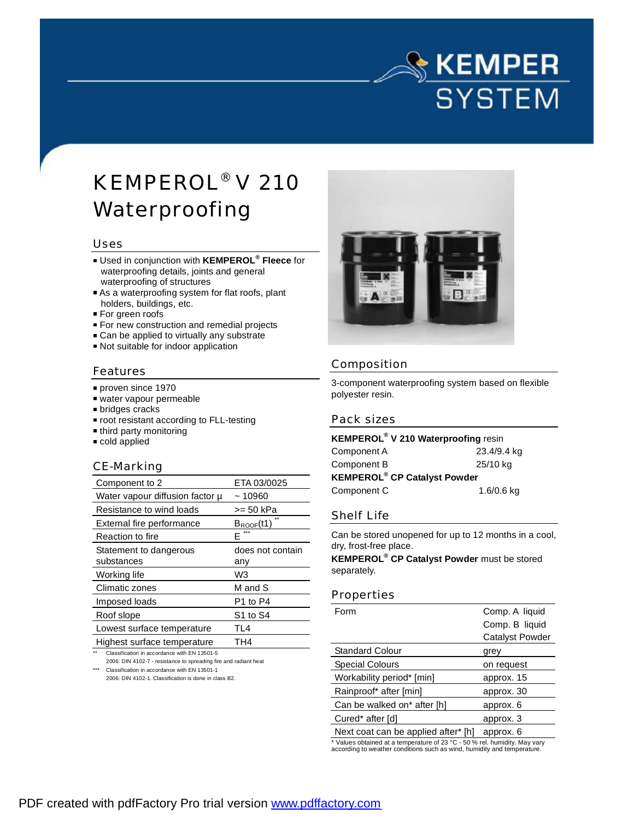# $\mathbb{S}% _{+}^{\ast }$  KEMPER **SYSTEM**

# KEMPEROL® V 210 Waterproofing

#### Uses

- Used in conjunction with **KEMPEROL® Fleece** for waterproofing details, joints and general waterproofing of structures
- As a waterproofing system for flat roofs, plant holders, buildings, etc.
- For green roofs
- **For new construction and remedial projects**
- Can be applied to virtually any substrate
- Not suitable for indoor application

#### Features

- proven since 1970
- water vapour permeable
- bridges cracks
- **root resistant according to FLL-testing**
- third party monitoring
- cold applied

#### CE-Marking

| Component to 2                  | ETA 03/0025           |
|---------------------------------|-----------------------|
| Water vapour diffusion factor µ | ~10960                |
| Resistance to wind loads        | >= 50 kPa             |
| External fire performance       | $B_{\text{ROOF}}(t1)$ |
| Reaction to fire                | F                     |
| Statement to dangerous          | does not contain      |
| substances                      | anv                   |
| Working life                    | W3                    |
| Climatic zones                  | M and S               |
| Imposed loads                   | P1 to P4              |
| Roof slope                      | S1 to S4              |
| Lowest surface temperature      | TL4                   |
| Highest surface temperature     | TH4                   |
|                                 |                       |

Classification in accordance with EN 13501-5

2006: DIN 4102-7 - resistance to spreading fire and radiant heat \*\*\* Classification in accordance with EN 13501-1

2006: DIN 4102-1. Classification is done in class B2.



### Composition

3-component waterproofing system based on flexible polyester resin.

#### Pack sizes

**KEMPEROL® V 210 Waterproofing** resin Component A 23.4/9.4 kg Component B 25/10 kg **KEMPEROL® CP Catalyst Powder** Component C 1.6/0.6 kg

#### Shelf Life

Can be stored unopened for up to 12 months in a cool, dry, frost-free place.

**KEMPEROL® CP Catalyst Powder** must be stored separately.

#### Properties

| Form                                | Comp. A liquid         |
|-------------------------------------|------------------------|
|                                     | Comp. B liquid         |
|                                     | <b>Catalyst Powder</b> |
| <b>Standard Colour</b>              | grey                   |
| <b>Special Colours</b>              | on request             |
| Workability period* [min]           | approx. 15             |
| Rainproof* after [min]              | approx. 30             |
| Can be walked on* after [h]         | approx. 6              |
| Cured* after [d]                    | approx. 3              |
| Next coat can be applied after* [h] | approx. 6              |

\* Values obtained at a temperature of 23 °C - 50 % rel. humidity. May vary according to weather conditions such as wind, humidity and temperature.